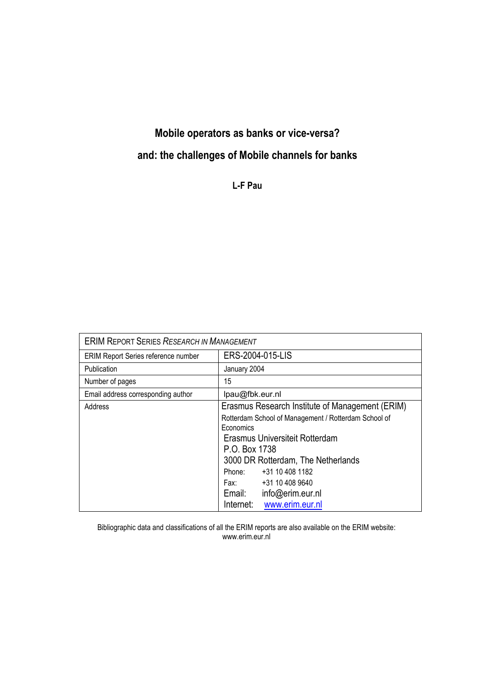# **Mobile operators as banks or vice-versa?**

# **and: the challenges of Mobile channels for banks**

**L-F Pau** 

| <b>ERIM REPORT SERIES RESEARCH IN MANAGEMENT</b> |                                                      |  |
|--------------------------------------------------|------------------------------------------------------|--|
| ERIM Report Series reference number              | ERS-2004-015-LIS                                     |  |
| Publication                                      | January 2004                                         |  |
| Number of pages                                  | 15                                                   |  |
| Email address corresponding author               | lpau@fbk.eur.nl                                      |  |
| Address                                          | Erasmus Research Institute of Management (ERIM)      |  |
|                                                  | Rotterdam School of Management / Rotterdam School of |  |
|                                                  | Economics                                            |  |
|                                                  | Erasmus Universiteit Rotterdam                       |  |
|                                                  | P.O. Box 1738                                        |  |
|                                                  | 3000 DR Rotterdam, The Netherlands                   |  |
|                                                  | +31 10 408 1182<br>Phone:                            |  |
|                                                  | Fax: +31 10 408 9640                                 |  |
|                                                  | info@erim.eur.nl<br>Email:                           |  |
|                                                  | www.erim.eur.nl<br>Internet:                         |  |

Bibliographic data and classifications of all the ERIM reports are also available on the ERIM website: www.erim.eur.nl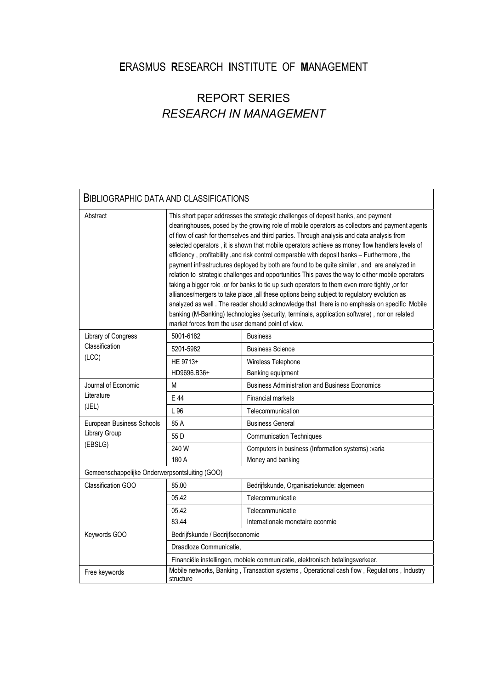# **E**RASMUS **R**ESEARCH **I**NSTITUTE OF **M**ANAGEMENT

# REPORT SERIES *RESEARCH IN MANAGEMENT*

| <b>BIBLIOGRAPHIC DATA AND CLASSIFICATIONS</b>         |                                                                                                                                                                                                                                                                                                                                                                                                                                                                                                                                                                                                                                                                                                                                                                                                                                                                                                                                                                                                                                                                                                                                              |                                                       |
|-------------------------------------------------------|----------------------------------------------------------------------------------------------------------------------------------------------------------------------------------------------------------------------------------------------------------------------------------------------------------------------------------------------------------------------------------------------------------------------------------------------------------------------------------------------------------------------------------------------------------------------------------------------------------------------------------------------------------------------------------------------------------------------------------------------------------------------------------------------------------------------------------------------------------------------------------------------------------------------------------------------------------------------------------------------------------------------------------------------------------------------------------------------------------------------------------------------|-------------------------------------------------------|
| Abstract                                              | This short paper addresses the strategic challenges of deposit banks, and payment<br>clearinghouses, posed by the growing role of mobile operators as collectors and payment agents<br>of flow of cash for themselves and third parties. Through analysis and data analysis from<br>selected operators, it is shown that mobile operators achieve as money flow handlers levels of<br>efficiency, profitability, and risk control comparable with deposit banks - Furthermore, the<br>payment infrastructures deployed by both are found to be quite similar, and are analyzed in<br>relation to strategic challenges and opportunities This paves the way to either mobile operators<br>taking a bigger role , or for banks to tie up such operators to them even more tightly , or for<br>alliances/mergers to take place ,all these options being subject to regulatory evolution as<br>analyzed as well. The reader should acknowledge that there is no emphasis on specific Mobile<br>banking (M-Banking) technologies (security, terminals, application software), nor on related<br>market forces from the user demand point of view. |                                                       |
| Library of Congress<br>Classification<br>(LOC)        | 5001-6182                                                                                                                                                                                                                                                                                                                                                                                                                                                                                                                                                                                                                                                                                                                                                                                                                                                                                                                                                                                                                                                                                                                                    | <b>Business</b>                                       |
|                                                       | 5201-5982                                                                                                                                                                                                                                                                                                                                                                                                                                                                                                                                                                                                                                                                                                                                                                                                                                                                                                                                                                                                                                                                                                                                    | <b>Business Science</b>                               |
|                                                       | HE 9713+                                                                                                                                                                                                                                                                                                                                                                                                                                                                                                                                                                                                                                                                                                                                                                                                                                                                                                                                                                                                                                                                                                                                     | Wireless Telephone                                    |
|                                                       | HD9696.B36+                                                                                                                                                                                                                                                                                                                                                                                                                                                                                                                                                                                                                                                                                                                                                                                                                                                                                                                                                                                                                                                                                                                                  | Banking equipment                                     |
| Journal of Economic<br>Literature<br>(JEL)            | М                                                                                                                                                                                                                                                                                                                                                                                                                                                                                                                                                                                                                                                                                                                                                                                                                                                                                                                                                                                                                                                                                                                                            | <b>Business Administration and Business Economics</b> |
|                                                       | E 44                                                                                                                                                                                                                                                                                                                                                                                                                                                                                                                                                                                                                                                                                                                                                                                                                                                                                                                                                                                                                                                                                                                                         | <b>Financial markets</b>                              |
|                                                       | L 96                                                                                                                                                                                                                                                                                                                                                                                                                                                                                                                                                                                                                                                                                                                                                                                                                                                                                                                                                                                                                                                                                                                                         | Telecommunication                                     |
| European Business Schools<br>Library Group<br>(EBSLG) | 85 A                                                                                                                                                                                                                                                                                                                                                                                                                                                                                                                                                                                                                                                                                                                                                                                                                                                                                                                                                                                                                                                                                                                                         | <b>Business General</b>                               |
|                                                       | 55 D                                                                                                                                                                                                                                                                                                                                                                                                                                                                                                                                                                                                                                                                                                                                                                                                                                                                                                                                                                                                                                                                                                                                         | <b>Communication Techniques</b>                       |
|                                                       | 240 W                                                                                                                                                                                                                                                                                                                                                                                                                                                                                                                                                                                                                                                                                                                                                                                                                                                                                                                                                                                                                                                                                                                                        | Computers in business (Information systems) :varia    |
|                                                       | 180 A                                                                                                                                                                                                                                                                                                                                                                                                                                                                                                                                                                                                                                                                                                                                                                                                                                                                                                                                                                                                                                                                                                                                        | Money and banking                                     |
| Gemeenschappelijke Onderwerpsontsluiting (GOO)        |                                                                                                                                                                                                                                                                                                                                                                                                                                                                                                                                                                                                                                                                                                                                                                                                                                                                                                                                                                                                                                                                                                                                              |                                                       |
| <b>Classification GOO</b>                             | 85.00                                                                                                                                                                                                                                                                                                                                                                                                                                                                                                                                                                                                                                                                                                                                                                                                                                                                                                                                                                                                                                                                                                                                        | Bedrijfskunde, Organisatiekunde: algemeen             |
|                                                       | 05.42                                                                                                                                                                                                                                                                                                                                                                                                                                                                                                                                                                                                                                                                                                                                                                                                                                                                                                                                                                                                                                                                                                                                        | Telecommunicatie                                      |
|                                                       | 05.42                                                                                                                                                                                                                                                                                                                                                                                                                                                                                                                                                                                                                                                                                                                                                                                                                                                                                                                                                                                                                                                                                                                                        | Telecommunicatie                                      |
|                                                       | 83.44                                                                                                                                                                                                                                                                                                                                                                                                                                                                                                                                                                                                                                                                                                                                                                                                                                                                                                                                                                                                                                                                                                                                        | Internationale monetaire econmie                      |
| Keywords GOO                                          | Bedrijfskunde / Bedrijfseconomie                                                                                                                                                                                                                                                                                                                                                                                                                                                                                                                                                                                                                                                                                                                                                                                                                                                                                                                                                                                                                                                                                                             |                                                       |
|                                                       | Draadloze Communicatie,                                                                                                                                                                                                                                                                                                                                                                                                                                                                                                                                                                                                                                                                                                                                                                                                                                                                                                                                                                                                                                                                                                                      |                                                       |
|                                                       | Financiële instellingen, mobiele communicatie, elektronisch betalingsverkeer,                                                                                                                                                                                                                                                                                                                                                                                                                                                                                                                                                                                                                                                                                                                                                                                                                                                                                                                                                                                                                                                                |                                                       |
| Free keywords                                         | Mobile networks, Banking, Transaction systems, Operational cash flow, Regulations, Industry<br>structure                                                                                                                                                                                                                                                                                                                                                                                                                                                                                                                                                                                                                                                                                                                                                                                                                                                                                                                                                                                                                                     |                                                       |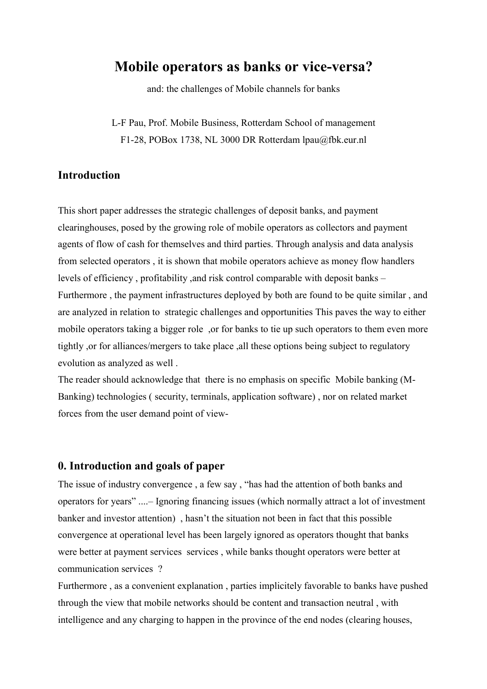# **Mobile operators as banks or vice-versa?**

and: the challenges of Mobile channels for banks

L-F Pau, Prof. Mobile Business, Rotterdam School of management F1-28, POBox 1738, NL 3000 DR Rotterdam lpau@fbk.eur.nl

## **Introduction**

This short paper addresses the strategic challenges of deposit banks, and payment clearinghouses, posed by the growing role of mobile operators as collectors and payment agents of flow of cash for themselves and third parties. Through analysis and data analysis from selected operators , it is shown that mobile operators achieve as money flow handlers levels of efficiency , profitability ,and risk control comparable with deposit banks – Furthermore , the payment infrastructures deployed by both are found to be quite similar , and are analyzed in relation to strategic challenges and opportunities This paves the way to either mobile operators taking a bigger role ,or for banks to tie up such operators to them even more tightly ,or for alliances/mergers to take place ,all these options being subject to regulatory evolution as analyzed as well .

The reader should acknowledge that there is no emphasis on specific Mobile banking (M-Banking) technologies ( security, terminals, application software) , nor on related market forces from the user demand point of view-

### **0. Introduction and goals of paper**

The issue of industry convergence , a few say , "has had the attention of both banks and operators for years" ....– Ignoring financing issues (which normally attract a lot of investment banker and investor attention) , hasn't the situation not been in fact that this possible convergence at operational level has been largely ignored as operators thought that banks were better at payment services services , while banks thought operators were better at communication services ?

Furthermore , as a convenient explanation , parties implicitely favorable to banks have pushed through the view that mobile networks should be content and transaction neutral , with intelligence and any charging to happen in the province of the end nodes (clearing houses,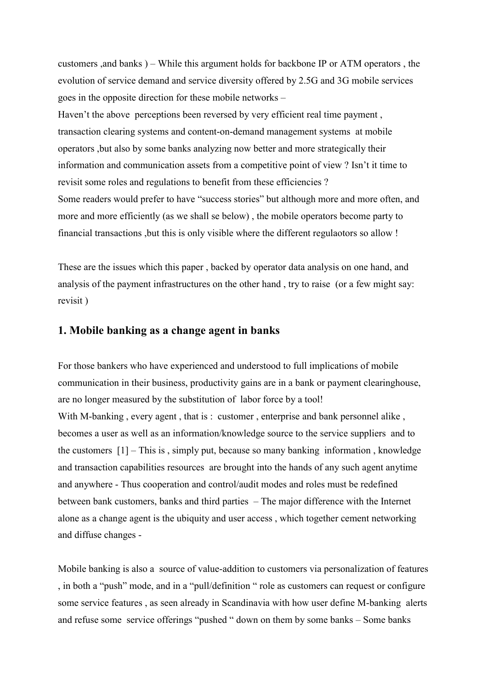customers ,and banks ) – While this argument holds for backbone IP or ATM operators , the evolution of service demand and service diversity offered by 2.5G and 3G mobile services goes in the opposite direction for these mobile networks –

Haven't the above perceptions been reversed by very efficient real time payment, transaction clearing systems and content-on-demand management systems at mobile operators ,but also by some banks analyzing now better and more strategically their information and communication assets from a competitive point of view ? Isn't it time to revisit some roles and regulations to benefit from these efficiencies ? Some readers would prefer to have "success stories" but although more and more often, and more and more efficiently (as we shall se below) , the mobile operators become party to financial transactions ,but this is only visible where the different regulaotors so allow !

These are the issues which this paper , backed by operator data analysis on one hand, and analysis of the payment infrastructures on the other hand , try to raise (or a few might say: revisit )

### **1. Mobile banking as a change agent in banks**

For those bankers who have experienced and understood to full implications of mobile communication in their business, productivity gains are in a bank or payment clearinghouse, are no longer measured by the substitution of labor force by a tool! With M-banking, every agent, that is: customer, enterprise and bank personnel alike, becomes a user as well as an information/knowledge source to the service suppliers and to the customers [1] – This is , simply put, because so many banking information , knowledge and transaction capabilities resources are brought into the hands of any such agent anytime and anywhere - Thus cooperation and control/audit modes and roles must be redefined between bank customers, banks and third parties – The major difference with the Internet alone as a change agent is the ubiquity and user access , which together cement networking and diffuse changes -

Mobile banking is also a source of value-addition to customers via personalization of features , in both a "push" mode, and in a "pull/definition " role as customers can request or configure some service features , as seen already in Scandinavia with how user define M-banking alerts and refuse some service offerings "pushed " down on them by some banks – Some banks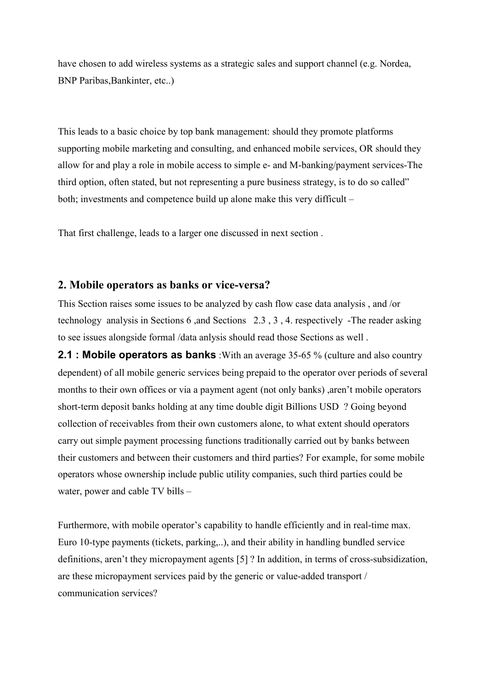have chosen to add wireless systems as a strategic sales and support channel (e.g. Nordea, BNP Paribas,Bankinter, etc..)

This leads to a basic choice by top bank management: should they promote platforms supporting mobile marketing and consulting, and enhanced mobile services, OR should they allow for and play a role in mobile access to simple e- and M-banking/payment services-The third option, often stated, but not representing a pure business strategy, is to do so called" both; investments and competence build up alone make this very difficult –

That first challenge, leads to a larger one discussed in next section .

### **2. Mobile operators as banks or vice-versa?**

This Section raises some issues to be analyzed by cash flow case data analysis , and /or technology analysis in Sections 6 ,and Sections 2.3 , 3 , 4. respectively -The reader asking to see issues alongside formal /data anlysis should read those Sections as well .

**2.1 : Mobile operators as banks** : With an average 35-65 % (culture and also country dependent) of all mobile generic services being prepaid to the operator over periods of several months to their own offices or via a payment agent (not only banks) ,aren't mobile operators short-term deposit banks holding at any time double digit Billions USD ? Going beyond collection of receivables from their own customers alone, to what extent should operators carry out simple payment processing functions traditionally carried out by banks between their customers and between their customers and third parties? For example, for some mobile operators whose ownership include public utility companies, such third parties could be water, power and cable TV bills –

Furthermore, with mobile operator's capability to handle efficiently and in real-time max. Euro 10-type payments (tickets, parking,..), and their ability in handling bundled service definitions, aren't they micropayment agents [5] ? In addition, in terms of cross-subsidization, are these micropayment services paid by the generic or value-added transport / communication services?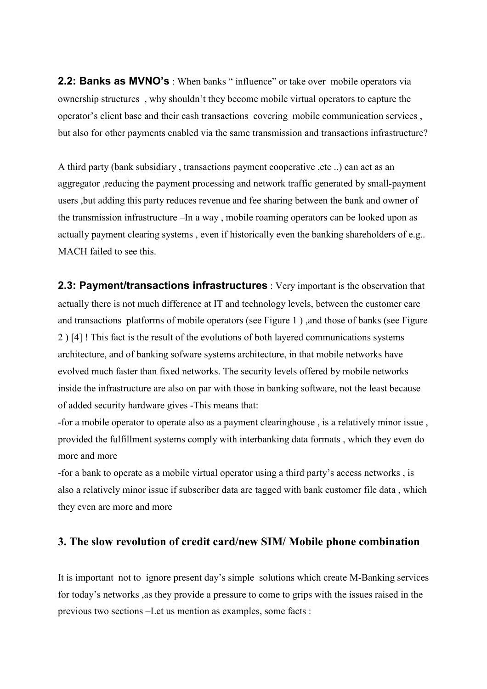**2.2: Banks as MVNO's**: When banks " influence" or take over mobile operators via ownership structures , why shouldn't they become mobile virtual operators to capture the operator's client base and their cash transactions covering mobile communication services , but also for other payments enabled via the same transmission and transactions infrastructure?

A third party (bank subsidiary , transactions payment cooperative ,etc ..) can act as an aggregator ,reducing the payment processing and network traffic generated by small-payment users ,but adding this party reduces revenue and fee sharing between the bank and owner of the transmission infrastructure –In a way , mobile roaming operators can be looked upon as actually payment clearing systems , even if historically even the banking shareholders of e.g.. MACH failed to see this.

**2.3: Payment/transactions infrastructures** : Very important is the observation that actually there is not much difference at IT and technology levels, between the customer care and transactions platforms of mobile operators (see Figure 1 ) ,and those of banks (see Figure 2 ) [4] ! This fact is the result of the evolutions of both layered communications systems architecture, and of banking sofware systems architecture, in that mobile networks have evolved much faster than fixed networks. The security levels offered by mobile networks inside the infrastructure are also on par with those in banking software, not the least because of added security hardware gives -This means that:

-for a mobile operator to operate also as a payment clearinghouse , is a relatively minor issue , provided the fulfillment systems comply with interbanking data formats , which they even do more and more

-for a bank to operate as a mobile virtual operator using a third party's access networks , is also a relatively minor issue if subscriber data are tagged with bank customer file data , which they even are more and more

### **3. The slow revolution of credit card/new SIM/ Mobile phone combination**

It is important not to ignore present day's simple solutions which create M-Banking services for today's networks ,as they provide a pressure to come to grips with the issues raised in the previous two sections –Let us mention as examples, some facts :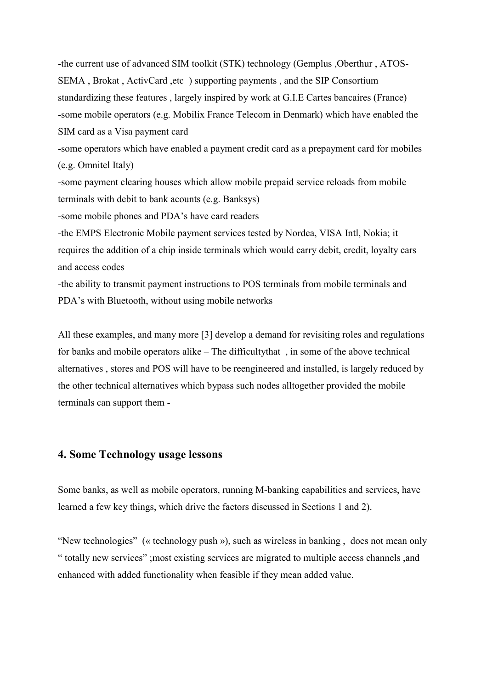-the current use of advanced SIM toolkit (STK) technology (Gemplus ,Oberthur , ATOS-SEMA , Brokat , ActivCard ,etc ) supporting payments , and the SIP Consortium standardizing these features , largely inspired by work at G.I.E Cartes bancaires (France) -some mobile operators (e.g. Mobilix France Telecom in Denmark) which have enabled the SIM card as a Visa payment card -some operators which have enabled a payment credit card as a prepayment card for mobiles (e.g. Omnitel Italy) -some payment clearing houses which allow mobile prepaid service reloads from mobile terminals with debit to bank acounts (e.g. Banksys) -some mobile phones and PDA's have card readers -the EMPS Electronic Mobile payment services tested by Nordea, VISA Intl, Nokia; it requires the addition of a chip inside terminals which would carry debit, credit, loyalty cars and access codes -the ability to transmit payment instructions to POS terminals from mobile terminals and PDA's with Bluetooth, without using mobile networks

All these examples, and many more [3] develop a demand for revisiting roles and regulations for banks and mobile operators alike – The difficultythat , in some of the above technical alternatives , stores and POS will have to be reengineered and installed, is largely reduced by the other technical alternatives which bypass such nodes alltogether provided the mobile terminals can support them -

## **4. Some Technology usage lessons**

Some banks, as well as mobile operators, running M-banking capabilities and services, have learned a few key things, which drive the factors discussed in Sections 1 and 2).

"New technologies" (« technology push »), such as wireless in banking , does not mean only " totally new services" ;most existing services are migrated to multiple access channels ,and enhanced with added functionality when feasible if they mean added value.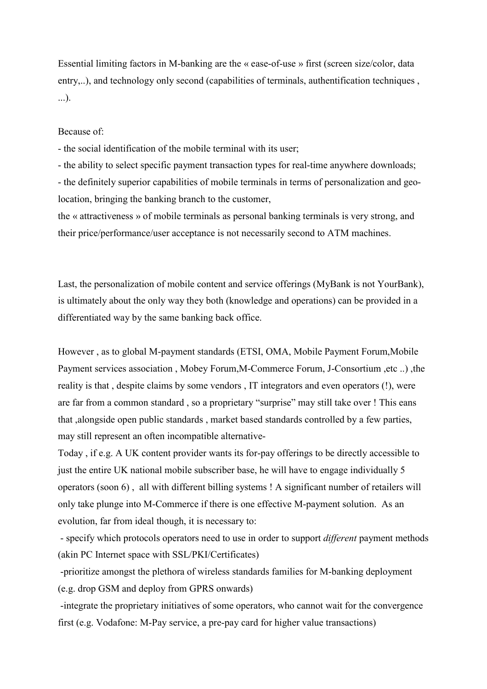Essential limiting factors in M-banking are the « ease-of-use » first (screen size/color, data entry,..), and technology only second (capabilities of terminals, authentification techniques , ...).

#### Because of:

- the social identification of the mobile terminal with its user;

- the ability to select specific payment transaction types for real-time anywhere downloads; - the definitely superior capabilities of mobile terminals in terms of personalization and geolocation, bringing the banking branch to the customer,

the « attractiveness » of mobile terminals as personal banking terminals is very strong, and their price/performance/user acceptance is not necessarily second to ATM machines.

Last, the personalization of mobile content and service offerings (MyBank is not YourBank), is ultimately about the only way they both (knowledge and operations) can be provided in a differentiated way by the same banking back office.

However , as to global M-payment standards (ETSI, OMA, Mobile Payment Forum,Mobile Payment services association , Mobey Forum,M-Commerce Forum, J-Consortium ,etc ..) ,the reality is that , despite claims by some vendors , IT integrators and even operators (!), were are far from a common standard , so a proprietary "surprise" may still take over ! This eans that ,alongside open public standards , market based standards controlled by a few parties, may still represent an often incompatible alternative-

Today , if e.g. A UK content provider wants its for-pay offerings to be directly accessible to just the entire UK national mobile subscriber base, he will have to engage individually 5 operators (soon 6) , all with different billing systems ! A significant number of retailers will only take plunge into M-Commerce if there is one effective M-payment solution. As an evolution, far from ideal though, it is necessary to:

 - specify which protocols operators need to use in order to support *different* payment methods (akin PC Internet space with SSL/PKI/Certificates)

 -prioritize amongst the plethora of wireless standards families for M-banking deployment (e.g. drop GSM and deploy from GPRS onwards)

 -integrate the proprietary initiatives of some operators, who cannot wait for the convergence first (e.g. Vodafone: M-Pay service, a pre-pay card for higher value transactions)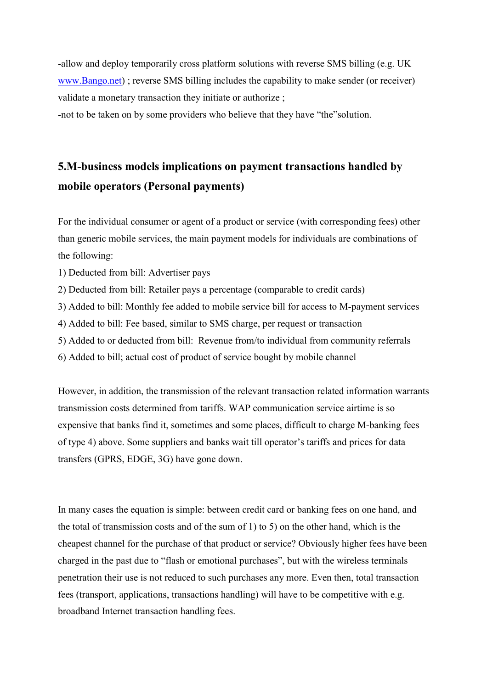-allow and deploy temporarily cross platform solutions with reverse SMS billing (e.g. UK [www.Bango.net\)](http://www.bango.net/) ; reverse SMS billing includes the capability to make sender (or receiver) validate a monetary transaction they initiate or authorize ;

-not to be taken on by some providers who believe that they have "the"solution.

# **5.M-business models implications on payment transactions handled by mobile operators (Personal payments)**

For the individual consumer or agent of a product or service (with corresponding fees) other than generic mobile services, the main payment models for individuals are combinations of the following:

- 1) Deducted from bill: Advertiser pays
- 2) Deducted from bill: Retailer pays a percentage (comparable to credit cards)
- 3) Added to bill: Monthly fee added to mobile service bill for access to M-payment services
- 4) Added to bill: Fee based, similar to SMS charge, per request or transaction
- 5) Added to or deducted from bill: Revenue from/to individual from community referrals
- 6) Added to bill; actual cost of product of service bought by mobile channel

However, in addition, the transmission of the relevant transaction related information warrants transmission costs determined from tariffs. WAP communication service airtime is so expensive that banks find it, sometimes and some places, difficult to charge M-banking fees of type 4) above. Some suppliers and banks wait till operator's tariffs and prices for data transfers (GPRS, EDGE, 3G) have gone down.

In many cases the equation is simple: between credit card or banking fees on one hand, and the total of transmission costs and of the sum of 1) to 5) on the other hand, which is the cheapest channel for the purchase of that product or service? Obviously higher fees have been charged in the past due to "flash or emotional purchases", but with the wireless terminals penetration their use is not reduced to such purchases any more. Even then, total transaction fees (transport, applications, transactions handling) will have to be competitive with e.g. broadband Internet transaction handling fees.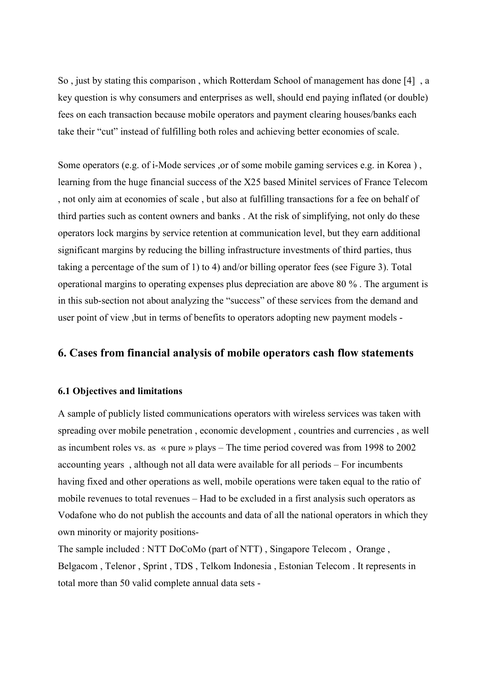So , just by stating this comparison , which Rotterdam School of management has done [4] , a key question is why consumers and enterprises as well, should end paying inflated (or double) fees on each transaction because mobile operators and payment clearing houses/banks each take their "cut" instead of fulfilling both roles and achieving better economies of scale.

Some operators (e.g. of i-Mode services ,or of some mobile gaming services e.g. in Korea ) , learning from the huge financial success of the X25 based Minitel services of France Telecom , not only aim at economies of scale , but also at fulfilling transactions for a fee on behalf of third parties such as content owners and banks . At the risk of simplifying, not only do these operators lock margins by service retention at communication level, but they earn additional significant margins by reducing the billing infrastructure investments of third parties, thus taking a percentage of the sum of 1) to 4) and/or billing operator fees (see Figure 3). Total operational margins to operating expenses plus depreciation are above 80 % . The argument is in this sub-section not about analyzing the "success" of these services from the demand and user point of view ,but in terms of benefits to operators adopting new payment models -

## **6. Cases from financial analysis of mobile operators cash flow statements**

### **6.1 Objectives and limitations**

A sample of publicly listed communications operators with wireless services was taken with spreading over mobile penetration , economic development , countries and currencies , as well as incumbent roles vs. as « pure » plays – The time period covered was from 1998 to 2002 accounting years , although not all data were available for all periods – For incumbents having fixed and other operations as well, mobile operations were taken equal to the ratio of mobile revenues to total revenues – Had to be excluded in a first analysis such operators as Vodafone who do not publish the accounts and data of all the national operators in which they own minority or majority positions-

The sample included : NTT DoCoMo (part of NTT) , Singapore Telecom , Orange , Belgacom , Telenor , Sprint , TDS , Telkom Indonesia , Estonian Telecom . It represents in total more than 50 valid complete annual data sets -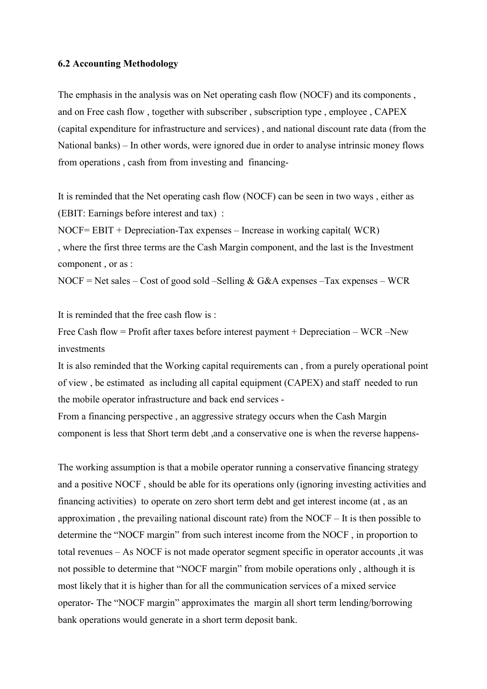#### **6.2 Accounting Methodology**

The emphasis in the analysis was on Net operating cash flow (NOCF) and its components , and on Free cash flow , together with subscriber , subscription type , employee , CAPEX (capital expenditure for infrastructure and services) , and national discount rate data (from the National banks) – In other words, were ignored due in order to analyse intrinsic money flows from operations , cash from from investing and financing-

It is reminded that the Net operating cash flow (NOCF) can be seen in two ways , either as (EBIT: Earnings before interest and tax) :

NOCF= EBIT + Depreciation-Tax expenses – Increase in working capital( WCR) , where the first three terms are the Cash Margin component, and the last is the Investment component , or as :

NOCF = Net sales – Cost of good sold – Selling & G&A expenses – Tax expenses – WCR

It is reminded that the free cash flow is :

Free Cash flow = Profit after taxes before interest payment + Depreciation – WCR –New investments

It is also reminded that the Working capital requirements can , from a purely operational point of view , be estimated as including all capital equipment (CAPEX) and staff needed to run the mobile operator infrastructure and back end services -

From a financing perspective , an aggressive strategy occurs when the Cash Margin component is less that Short term debt ,and a conservative one is when the reverse happens-

The working assumption is that a mobile operator running a conservative financing strategy and a positive NOCF , should be able for its operations only (ignoring investing activities and financing activities) to operate on zero short term debt and get interest income (at , as an approximation , the prevailing national discount rate) from the NOCF – It is then possible to determine the "NOCF margin" from such interest income from the NOCF , in proportion to total revenues – As NOCF is not made operator segment specific in operator accounts ,it was not possible to determine that "NOCF margin" from mobile operations only , although it is most likely that it is higher than for all the communication services of a mixed service operator- The "NOCF margin" approximates the margin all short term lending/borrowing bank operations would generate in a short term deposit bank.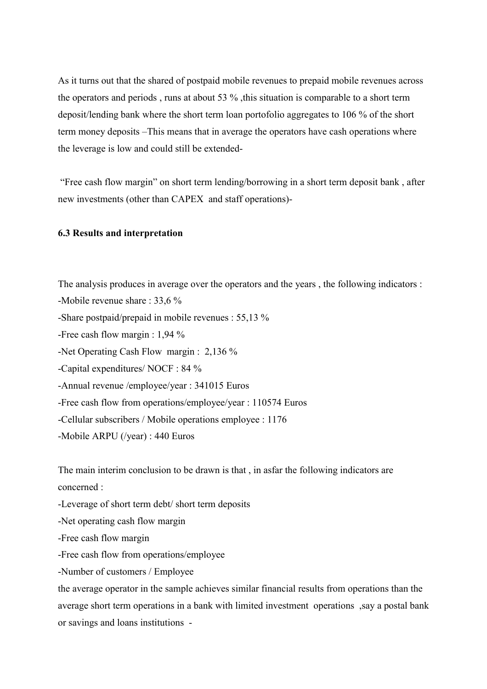As it turns out that the shared of postpaid mobile revenues to prepaid mobile revenues across the operators and periods, runs at about 53 %, this situation is comparable to a short term deposit/lending bank where the short term loan portofolio aggregates to 106 % of the short term money deposits –This means that in average the operators have cash operations where the leverage is low and could still be extended-

 "Free cash flow margin" on short term lending/borrowing in a short term deposit bank , after new investments (other than CAPEX and staff operations)-

#### **6.3 Results and interpretation**

The analysis produces in average over the operators and the years , the following indicators :

-Mobile revenue share : 33,6 %

-Share postpaid/prepaid in mobile revenues : 55,13 %

-Free cash flow margin : 1,94 %

-Net Operating Cash Flow margin : 2,136 %

-Capital expenditures/ NOCF : 84 %

-Annual revenue /employee/year : 341015 Euros

-Free cash flow from operations/employee/year : 110574 Euros

-Cellular subscribers / Mobile operations employee : 1176

-Mobile ARPU (/year) : 440 Euros

The main interim conclusion to be drawn is that , in asfar the following indicators are concerned :

-Leverage of short term debt/ short term deposits

-Net operating cash flow margin

-Free cash flow margin

-Free cash flow from operations/employee

-Number of customers / Employee

the average operator in the sample achieves similar financial results from operations than the average short term operations in a bank with limited investment operations ,say a postal bank or savings and loans institutions -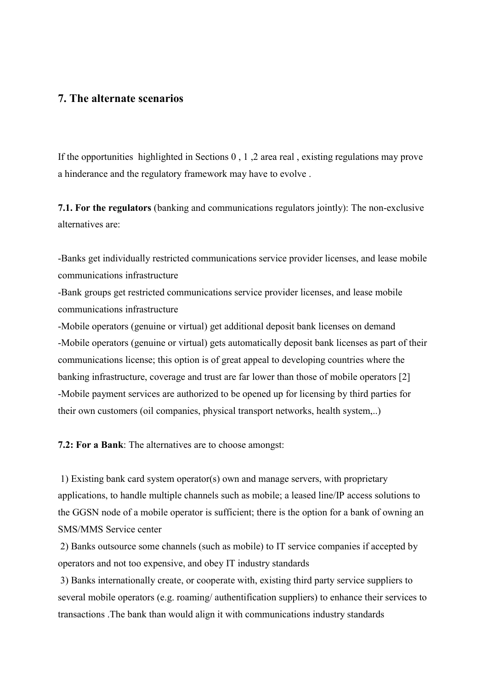### **7. The alternate scenarios**

If the opportunities highlighted in Sections 0 , 1 ,2 area real , existing regulations may prove a hinderance and the regulatory framework may have to evolve .

**7.1. For the regulators** (banking and communications regulators jointly): The non-exclusive alternatives are:

-Banks get individually restricted communications service provider licenses, and lease mobile communications infrastructure

-Bank groups get restricted communications service provider licenses, and lease mobile communications infrastructure

-Mobile operators (genuine or virtual) get additional deposit bank licenses on demand -Mobile operators (genuine or virtual) gets automatically deposit bank licenses as part of their communications license; this option is of great appeal to developing countries where the banking infrastructure, coverage and trust are far lower than those of mobile operators [2] -Mobile payment services are authorized to be opened up for licensing by third parties for their own customers (oil companies, physical transport networks, health system,..)

**7.2: For a Bank**: The alternatives are to choose amongst:

 1) Existing bank card system operator(s) own and manage servers, with proprietary applications, to handle multiple channels such as mobile; a leased line/IP access solutions to the GGSN node of a mobile operator is sufficient; there is the option for a bank of owning an SMS/MMS Service center

 2) Banks outsource some channels (such as mobile) to IT service companies if accepted by operators and not too expensive, and obey IT industry standards

 3) Banks internationally create, or cooperate with, existing third party service suppliers to several mobile operators (e.g. roaming/ authentification suppliers) to enhance their services to transactions .The bank than would align it with communications industry standards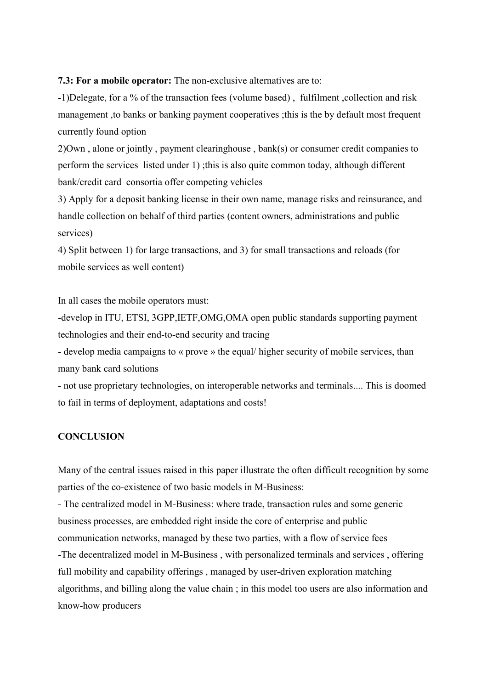**7.3: For a mobile operator:** The non-exclusive alternatives are to:

-1)Delegate, for a % of the transaction fees (volume based) , fulfilment ,collection and risk management ,to banks or banking payment cooperatives ;this is the by default most frequent currently found option

2)Own , alone or jointly , payment clearinghouse , bank(s) or consumer credit companies to perform the services listed under 1) ;this is also quite common today, although different bank/credit card consortia offer competing vehicles

3) Apply for a deposit banking license in their own name, manage risks and reinsurance, and handle collection on behalf of third parties (content owners, administrations and public services)

4) Split between 1) for large transactions, and 3) for small transactions and reloads (for mobile services as well content)

In all cases the mobile operators must:

-develop in ITU, ETSI, 3GPP, IETF, OMG, OMA open public standards supporting payment technologies and their end-to-end security and tracing

- develop media campaigns to « prove » the equal/ higher security of mobile services, than many bank card solutions

- not use proprietary technologies, on interoperable networks and terminals.... This is doomed to fail in terms of deployment, adaptations and costs!

### **CONCLUSION**

Many of the central issues raised in this paper illustrate the often difficult recognition by some parties of the co-existence of two basic models in M-Business:

- The centralized model in M-Business: where trade, transaction rules and some generic business processes, are embedded right inside the core of enterprise and public communication networks, managed by these two parties, with a flow of service fees -The decentralized model in M-Business , with personalized terminals and services , offering full mobility and capability offerings , managed by user-driven exploration matching algorithms, and billing along the value chain ; in this model too users are also information and know-how producers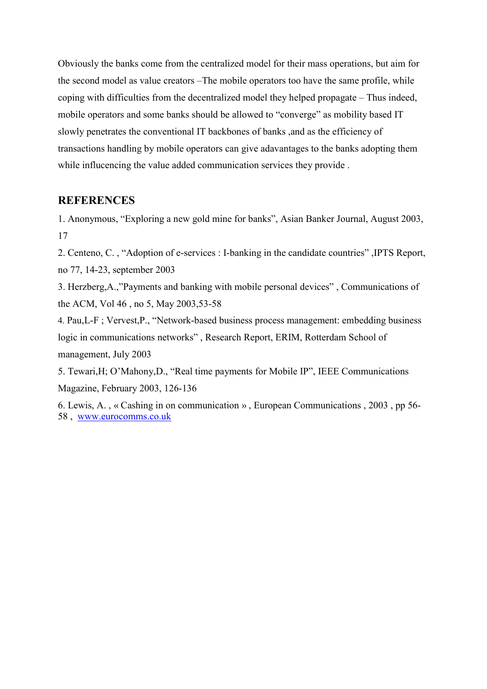Obviously the banks come from the centralized model for their mass operations, but aim for the second model as value creators –The mobile operators too have the same profile, while coping with difficulties from the decentralized model they helped propagate – Thus indeed, mobile operators and some banks should be allowed to "converge" as mobility based IT slowly penetrates the conventional IT backbones of banks ,and as the efficiency of transactions handling by mobile operators can give adavantages to the banks adopting them while influcencing the value added communication services they provide .

## **REFERENCES**

1. Anonymous, "Exploring a new gold mine for banks", Asian Banker Journal, August 2003, 17

2. Centeno, C. , "Adoption of e-services : I-banking in the candidate countries" ,IPTS Report, no 77, 14-23, september 2003

3. Herzberg,A.,"Payments and banking with mobile personal devices" , Communications of the ACM, Vol 46 , no 5, May 2003,53-58

4. Pau,L-F ; Vervest,P., "Network-based business process management: embedding business logic in communications networks" , Research Report, ERIM, Rotterdam School of management, July 2003

5. Tewari,H; O'Mahony,D., "Real time payments for Mobile IP", IEEE Communications Magazine, February 2003, 126-136

6. Lewis, A. , « Cashing in on communication » , European Communications , 2003 , pp 56- 58 , [www.eurocomms.co.uk](http://www.eurocomms.co.uk/)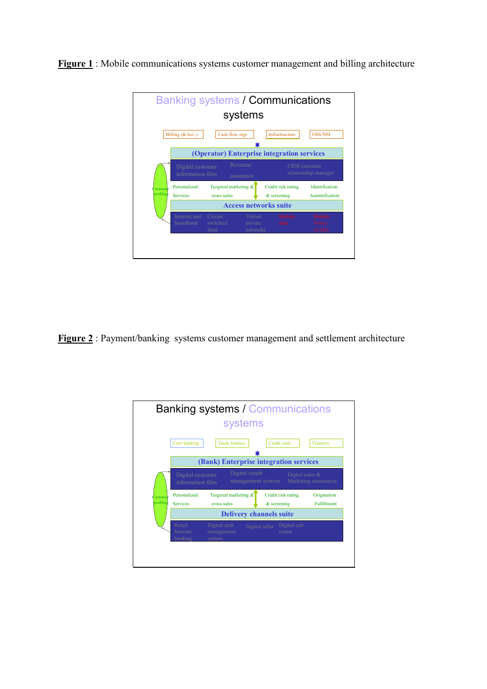Banking systems / Communications systems Billing (& hot..) Cash flow mgt Infrastructure OSS/NM ÷ **(Operator) Enterprise integration services** Personalized Targeted marketing  $\&$  Credit risk rating Identification **Customer** Services cross-sales  $\overline{\mathbf{c}}$  & screening Autentification profiling **Access networks suite**

**Figure 1** : Mobile communications systems customer management and billing architecture

**Figure 2** : Payment/banking systems customer management and settlement architecture

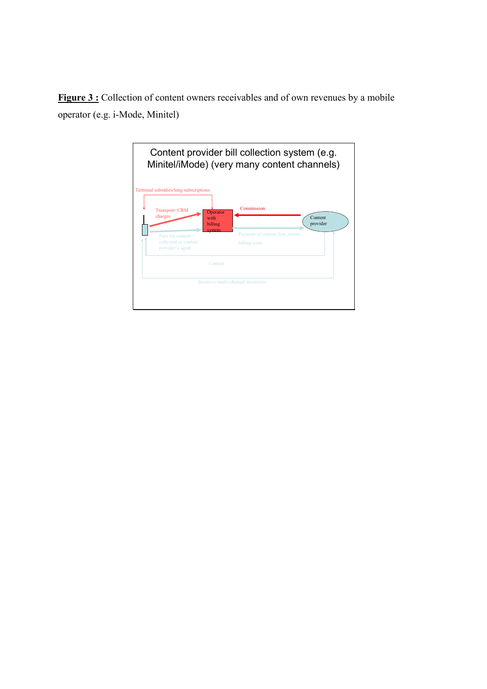**Figure 3 :** Collection of content owners receivables and of own revenues by a mobile operator (e.g. i-Mode, Minitel)